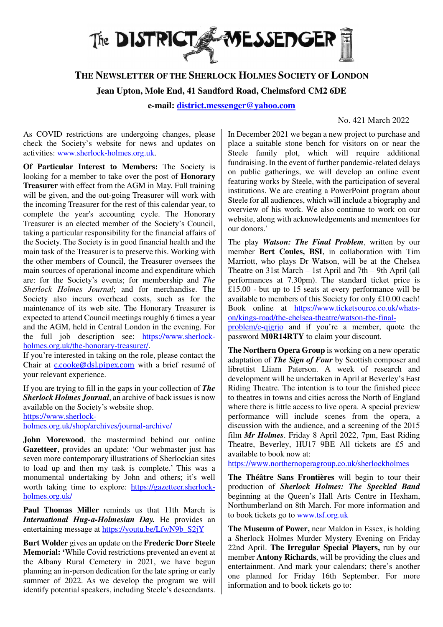

# **THE NEWSLETTER OF THE SHERLOCK HOLMES SOCIETY OF LONDON**

**Jean Upton, Mole End, 41 Sandford Road, Chelmsford CM2 6DE**

**e-mail: district.messenger@yahoo.com**

## No. 421 March 2022

As COVID restrictions are undergoing changes, please check the Society's website for news and updates on activities: www.sherlock-holmes.org.uk.

**Of Particular Interest to Members:** The Society is looking for a member to take over the post of **Honorary Treasurer** with effect from the AGM in May. Full training will be given, and the out-going Treasurer will work with the incoming Treasurer for the rest of this calendar year, to complete the year's accounting cycle. The Honorary Treasurer is an elected member of the Society's Council, taking a particular responsibility for the financial affairs of the Society. The Society is in good financial health and the main task of the Treasurer is to preserve this. Working with the other members of Council, the Treasurer oversees the main sources of operational income and expenditure which are: for the Society's events; for membership and *The Sherlock Holmes Journal*; and for merchandise. The Society also incurs overhead costs, such as for the maintenance of its web site. The Honorary Treasurer is expected to attend Council meetings roughly 6 times a year and the AGM, held in Central London in the evening. For the full job description see: https://www.sherlockholmes.org.uk/the-honorary-treasurer/.

If you're interested in taking on the role, please contact the Chair at c.cooke@dsl.pipex.com with a brief resumé of your relevant experience.

If you are trying to fill in the gaps in your collection of *The Sherlock Holmes Journal*, an archive of back issues is now available on the Society's website shop. https://www.sherlock-

holmes.org.uk/shop/archives/journal-archive/

**John Morewood**, the mastermind behind our online **Gazetteer**, provides an update: 'Our webmaster just has seven more contemporary illustrations of Sherlockian sites to load up and then my task is complete.' This was a monumental undertaking by John and others; it's well worth taking time to explore: https://gazetteer.sherlockholmes.org.uk/

**Paul Thomas Miller** reminds us that 11th March is *International Hug-a-Holmesian Day.* He provides an entertaining message at https://youtu.be/LfwN9b\_S2jY

**Burt Wolder** gives an update on the **Frederic Dorr Steele Memorial: '**While Covid restrictions prevented an event at the Albany Rural Cemetery in 2021, we have begun planning an in-person dedication for the late spring or early summer of 2022. As we develop the program we will identify potential speakers, including Steele's descendants. In December 2021 we began a new project to purchase and place a suitable stone bench for visitors on or near the Steele family plot, which will require additional fundraising. In the event of further pandemic-related delays on public gatherings, we will develop an online event featuring works by Steele, with the participation of several institutions. We are creating a PowerPoint program about Steele for all audiences, which will include a biography and overview of his work. We also continue to work on our website, along with acknowledgements and mementoes for our donors.'

The play *Watson: The Final Problem*, written by our member **Bert Coules, BSI**, in collaboration with Tim Marriott, who plays Dr Watson, will be at the Chelsea Theatre on 31st March – 1st April and 7th – 9th April (all performances at 7.30pm). The standard ticket price is £15.00 - but up to 15 seats at every performance will be available to members of this Society for only £10.00 each! Book online at https://www.ticketsource.co.uk/whatson/kings-road/the-chelsea-theatre/watson-the-final-

problem/e-qjgrjo and if you're a member, quote the password **M0R14RTY** to claim your discount.

**The Northern Opera Group** is working on a new operatic adaptation of *The Sign of Four* by Scottish composer and librettist Lliam Paterson. A week of research and development will be undertaken in April at Beverley's East Riding Theatre. The intention is to tour the finished piece to theatres in towns and cities across the North of England where there is little access to live opera. A special preview performance will include scenes from the opera, a discussion with the audience, and a screening of the 2015 film *Mr Holmes*. Friday 8 April 2022, 7pm, East Riding Theatre, Beverley, HU17 9BE All tickets are £5 and available to book now at:

https://www.northernoperagroup.co.uk/sherlockholmes

**The Théâtre Sans Frontières** will begin to tour their production of *Sherlock Holmes: The Speckled Band* beginning at the Queen's Hall Arts Centre in Hexham, Northumberland on 8th March. For more information and to book tickets go to www.tsf.org.uk

**The Museum of Power,** near Maldon in Essex, is holding a Sherlock Holmes Murder Mystery Evening on Friday 22nd April. **The Irregular Special Players,** run by our member **Antony Richards**, will be providing the clues and entertainment. And mark your calendars; there's another one planned for Friday 16th September. For more information and to book tickets go to: